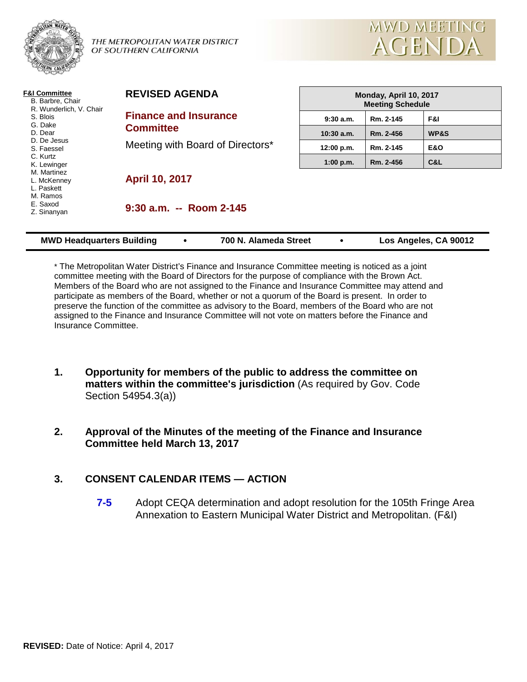

THE METROPOLITAN WATER DISTRICT OF SOUTHERN CALIFORNIA



| <b>F&amp;I Committee</b><br>B. Barbre, Chair<br>R. Wunderlich, V. Chair<br>S. Blois<br>G. Dake<br>D. Dear<br>D. De Jesus<br>S. Faessel<br>C. Kurtz<br>K. Lewinger<br>M. Martinez<br>L. McKenney<br>L. Paskett<br>M. Ramos<br>E. Saxod<br>Z. Sinanyan | <b>REVISED AGENDA</b>                                                                | Monday, April 10, 2017<br><b>Meeting Schedule</b> |           |                       |
|------------------------------------------------------------------------------------------------------------------------------------------------------------------------------------------------------------------------------------------------------|--------------------------------------------------------------------------------------|---------------------------------------------------|-----------|-----------------------|
|                                                                                                                                                                                                                                                      | <b>Finance and Insurance</b><br><b>Committee</b><br>Meeting with Board of Directors* | 9:30a.m.                                          | Rm. 2-145 | F&I                   |
|                                                                                                                                                                                                                                                      |                                                                                      | $10:30$ a.m.                                      | Rm. 2-456 | WP&S                  |
|                                                                                                                                                                                                                                                      |                                                                                      | 12:00 p.m.                                        | Rm. 2-145 | <b>E&amp;O</b>        |
|                                                                                                                                                                                                                                                      |                                                                                      | 1:00 p.m.                                         | Rm. 2-456 | C&L                   |
|                                                                                                                                                                                                                                                      | <b>April 10, 2017</b>                                                                |                                                   |           |                       |
|                                                                                                                                                                                                                                                      | $9:30$ a.m. -- Room 2-145                                                            |                                                   |           |                       |
| <b>MWD Headquarters Building</b>                                                                                                                                                                                                                     | 700 N. Alameda Street                                                                |                                                   |           | Los Angeles, CA 90012 |

\* The Metropolitan Water District's Finance and Insurance Committee meeting is noticed as a joint committee meeting with the Board of Directors for the purpose of compliance with the Brown Act. Members of the Board who are not assigned to the Finance and Insurance Committee may attend and participate as members of the Board, whether or not a quorum of the Board is present. In order to preserve the function of the committee as advisory to the Board, members of the Board who are not assigned to the Finance and Insurance Committee will not vote on matters before the Finance and Insurance Committee.

- **1. Opportunity for members of the public to address the committee on matters within the committee's jurisdiction** (As required by Gov. Code Section 54954.3(a))
- **2. Approval of the Minutes of the meeting of the Finance and Insurance Committee held March 13, 2017**

### **3. CONSENT CALENDAR ITEMS — ACTION**

**7-5** Adopt CEQA determination and adopt resolution for the 105th Fringe Area Annexation to Eastern Municipal Water District and Metropolitan. (F&I)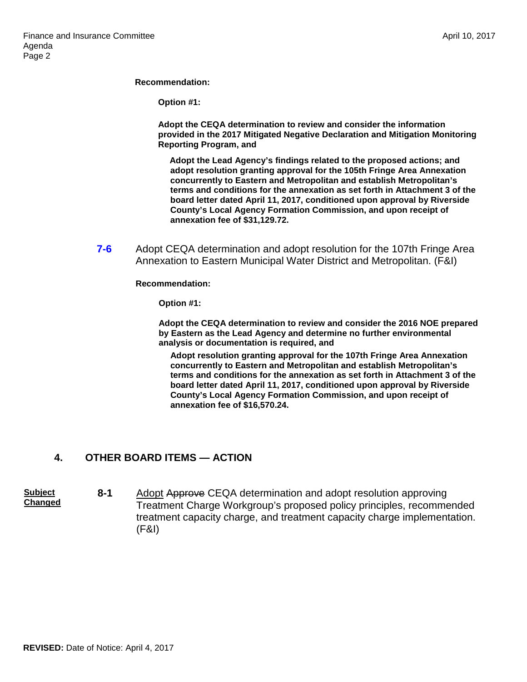#### **Recommendation:**

**Option #1:**

**Adopt the CEQA determination to review and consider the information provided in the 2017 Mitigated Negative Declaration and Mitigation Monitoring Reporting Program, and**

**Adopt the Lead Agency's findings related to the proposed actions; and adopt resolution granting approval for the 105th Fringe Area Annexation concurrently to Eastern and Metropolitan and establish Metropolitan's terms and conditions for the annexation as set forth in Attachment 3 of the board letter dated April 11, 2017, conditioned upon approval by Riverside County's Local Agency Formation Commission, and upon receipt of annexation fee of \$31,129.72.**

**7-6** Adopt CEQA determination and adopt resolution for the 107th Fringe Area Annexation to Eastern Municipal Water District and Metropolitan. (F&I)

**Recommendation:**

**Option #1:**

**Adopt the CEQA determination to review and consider the 2016 NOE prepared by Eastern as the Lead Agency and determine no further environmental analysis or documentation is required, and**

**Adopt resolution granting approval for the 107th Fringe Area Annexation concurrently to Eastern and Metropolitan and establish Metropolitan's terms and conditions for the annexation as set forth in Attachment 3 of the board letter dated April 11, 2017, conditioned upon approval by Riverside County's Local Agency Formation Commission, and upon receipt of annexation fee of \$16,570.24.**

### **4. OTHER BOARD ITEMS — ACTION**

**Subject Changed 8-1** Adopt Approve CEQA determination and adopt resolution approving Treatment Charge Workgroup's proposed policy principles, recommended treatment capacity charge, and treatment capacity charge implementation. (F&I)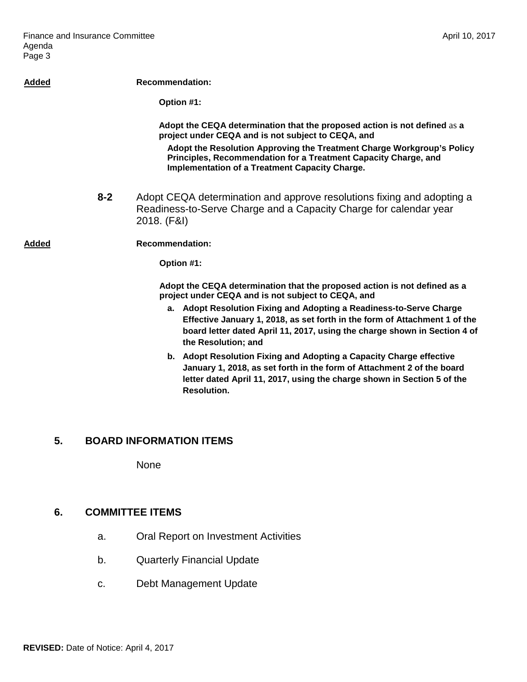| Added |                                                                                                                                 | <b>Recommendation:</b>                                                                                                                                                                                                                                |  |
|-------|---------------------------------------------------------------------------------------------------------------------------------|-------------------------------------------------------------------------------------------------------------------------------------------------------------------------------------------------------------------------------------------------------|--|
|       |                                                                                                                                 | Option #1:                                                                                                                                                                                                                                            |  |
|       |                                                                                                                                 | Adopt the CEQA determination that the proposed action is not defined as a<br>project under CEQA and is not subject to CEQA, and                                                                                                                       |  |
|       |                                                                                                                                 | Adopt the Resolution Approving the Treatment Charge Workgroup's Policy<br>Principles, Recommendation for a Treatment Capacity Charge, and<br><b>Implementation of a Treatment Capacity Charge.</b>                                                    |  |
|       | $8 - 2$                                                                                                                         | Adopt CEQA determination and approve resolutions fixing and adopting a<br>Readiness-to-Serve Charge and a Capacity Charge for calendar year<br>2018. (F&I)                                                                                            |  |
| Added |                                                                                                                                 | <b>Recommendation:</b>                                                                                                                                                                                                                                |  |
|       |                                                                                                                                 | Option #1:                                                                                                                                                                                                                                            |  |
|       | Adopt the CEQA determination that the proposed action is not defined as a<br>project under CEQA and is not subject to CEQA, and |                                                                                                                                                                                                                                                       |  |
|       |                                                                                                                                 | a. Adopt Resolution Fixing and Adopting a Readiness-to-Serve Charge<br>Effective January 1, 2018, as set forth in the form of Attachment 1 of the<br>board letter dated April 11, 2017, using the charge shown in Section 4 of<br>the Resolution; and |  |
|       |                                                                                                                                 | b. Adopt Resolution Fixing and Adopting a Capacity Charge effective<br>January 1, 2018, as set forth in the form of Attachment 2 of the board<br>letter dated April 11, 2017, using the charge shown in Section 5 of the<br><b>Resolution.</b>        |  |
|       |                                                                                                                                 |                                                                                                                                                                                                                                                       |  |

# **5. BOARD INFORMATION ITEMS**

None

## **6. COMMITTEE ITEMS**

- a. Oral Report on Investment Activities
- b. Quarterly Financial Update
- c. Debt Management Update